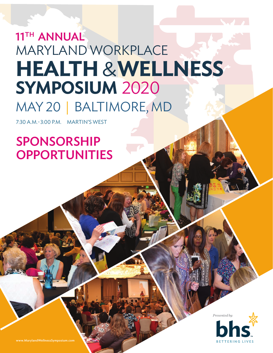# **HEALTH** &**WELLNESS**  MARYLAND WORKPLACE MAY 20 | BALTIMORE, MD 11TH ANNUAL **SYMPOSIUM** 2020

7:30 A.M.-3:00 P.M. MARTIN'S WEST

# SPONSORSHIP **OPPORTUNITIES**

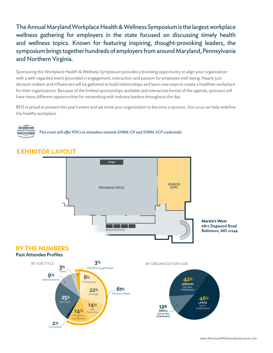The Annual Maryland Workplace Health & Wellness Symposium is the largest workplace wellness gathering for employers in the state focused on discussing timely health and wellness topics. Known for featuring inspiring, thought-provoking leaders, the symposium brings together hundreds of employers from around Maryland, Pennsylvania and Northern Virginia.

Sponsoring the Workplace Health & Wellness Symposium provides a branding opportunity to align your organization with a well-regarded event grounded in engagement, interaction and passion for employee well-being. Nearly 500 decision makers and influencers will be gathered to build relationships and learn new ways to create a healthier workplace for their organizations. Because of the limited sponsorships available and interactive format of the agenda, sponsors will have many different opportunities for networking with industry leaders throughout the day.

BHS is proud to present this year's event and we invite your organization to become a sponsor. Join us as we help redefine the healthy workplace.



RECERTIFICATION This event will offer PDCs to attendees towards SHRM-CP and SHRM-SCP credentials.



## **EXHIBITOR LAYOUT**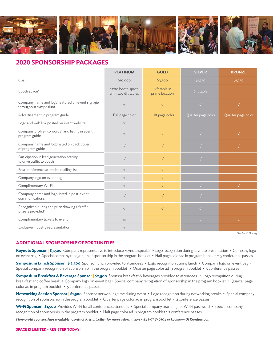

#### **2020 SPONSORSHIP PACKAGES**

|                                                                         | <b>PLATINUM</b>                          | <b>GOLD</b>                     | <b>SILVER</b>      | <b>BRONZE</b>      |
|-------------------------------------------------------------------------|------------------------------------------|---------------------------------|--------------------|--------------------|
| Cost                                                                    | \$10,000                                 | \$3,500                         | \$1,750            | \$1,250            |
| Booth space*                                                            | 12x10 booth space<br>with two 6ft tables | 6 ft table in<br>prime location | 6 ft table         |                    |
| Company name and logo featured on event signage<br>throughout symposium | $\sqrt{ }$                               | $\sqrt{}$                       | $\sqrt{}$          | $\sqrt{}$          |
| Advertisement in program guide                                          | Full page color                          | Half page color                 | Quarter page color | Quarter page color |
| Logo and web link posted on event website                               | $\sqrt{ }$                               |                                 |                    |                    |
| Company profile (50 words) and listing in event<br>program guide        | $\sqrt{}$                                | $\sqrt{ }$                      | $\sqrt{}$          | $\sqrt{}$          |
| Company name and logo listed on back cover<br>of program guide          | $\sqrt{}$                                | $\sqrt{}$                       |                    | $\sqrt{}$          |
| Participation in lead generation activity<br>to drive traffic to booth  | $\sqrt{}$                                | $\sqrt{}$                       |                    |                    |
| Post-conference attendee mailing list                                   | $\sqrt{ }$                               | $\sqrt{ }$                      |                    |                    |
| Company logo on event bag                                               | $\sqrt{ }$                               | $\sqrt{}$                       |                    |                    |
| Complimentary Wi-Fi                                                     | $\sqrt{}$                                | $\sqrt{ }$                      | $\sqrt{}$          | $\sqrt{}$          |
| Company name and logo listed in post-event<br>communications            | $\sqrt{ }$                               | $\sqrt{ }$                      | $\sqrt{}$          |                    |
| Recognized during the prize drawing (if raffle<br>prize is provided)    | $\sqrt{ }$                               | $\sqrt{}$                       | $\sqrt{}$          |                    |
| Complimentary tickets to event                                          | 10 <sup>°</sup>                          | 5                               | $\overline{2}$     | $\overline{2}$     |
| Exclusive industry representation                                       | $\sqrt{ }$                               |                                 |                    |                    |

*\*No Booth Sharing*

#### **ADDITIONAL SPONSORSHIP OPPORTUNITIES**

**Keynote Sponsor | \$3,500** Company representative to introduce keynote speaker • Logo recognition during keynote presentation • Company logo on event bag • Special company recognition of sponsorship in the program booklet • Half page color ad in program booklet • 5 conference passes

**Symposium Lunch Sponsor | \$ 2,500** Sponsor lunch provided to attendees • Logo recognition during lunch • Company logo on event bag • Special company recognition of sponsorship in the program booklet • Quarter page color ad in program booklet • 5 conference passes

**Symposium Breakfast & Beverage Sponsor | \$2,500** Sponsor breakfast & beverages provided to attendees • Logo recognition during breakfast and coffee break • Company logo on event bag • Special company recognition of sponsorship in the program booklet • Quarter page color ad in program booklet • 5 conference passes

**Networking Session Sponsor | \$1,500** Sponsor networking time during event • Logo recognition during networking breaks • Special company recognition of sponsorship in the program booklet • Quarter page color ad in program booklet • 2 conference passes

Wi-Fi Sponsor | \$1,500 Provides Wi-Fi for all conference attendees • Special company branding for Wi-Fi password • Special company recognition of sponsorship in the program booklet • Half page color ad in program booklet • 2 conference passes

*Non-profit sponsorships available. Contact Krista Collier for more information - 443-738-0104 or kcollier@BHSonline.com.*

#### **SPACE IS LIMITED - REGISTER TODAY!**